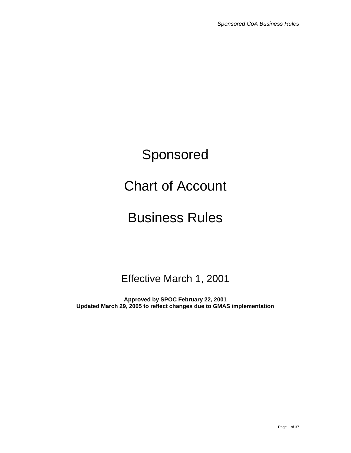# Sponsored

# Chart of Account

# Business Rules

# Effective March 1, 2001

**Approved by SPOC February 22, 2001 Updated March 29, 2005 to reflect changes due to GMAS implementation**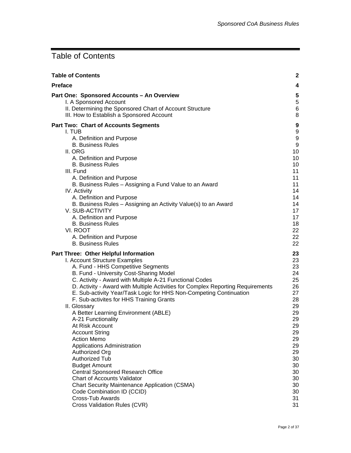# <span id="page-1-0"></span>Table of Contents

| <b>Table of Contents</b>                                                        | $\mathbf{2}$     |
|---------------------------------------------------------------------------------|------------------|
| <b>Preface</b>                                                                  | 4                |
| Part One: Sponsored Accounts - An Overview                                      | ${\bf 5}$        |
| I. A Sponsored Account                                                          | $\,$ 5 $\,$      |
| II. Determining the Sponsored Chart of Account Structure                        | 6                |
| III. How to Establish a Sponsored Account                                       | 8                |
| <b>Part Two: Chart of Accounts Segments</b>                                     | 9                |
| I. TUB                                                                          | 9                |
| A. Definition and Purpose                                                       | $\boldsymbol{9}$ |
| <b>B. Business Rules</b>                                                        | $\boldsymbol{9}$ |
| II. ORG                                                                         | 10               |
| A. Definition and Purpose                                                       | 10               |
| <b>B. Business Rules</b>                                                        | 10               |
| III. Fund                                                                       | 11               |
| A. Definition and Purpose                                                       | 11               |
| B. Business Rules - Assigning a Fund Value to an Award                          | 11               |
| IV. Activity                                                                    | 14               |
| A. Definition and Purpose                                                       | 14               |
| B. Business Rules - Assigning an Activity Value(s) to an Award                  | 14               |
| V. SUB-ACTIVITY                                                                 | 17               |
| A. Definition and Purpose                                                       | 17               |
| <b>B. Business Rules</b>                                                        | 18               |
| VI. ROOT                                                                        | 22               |
| A. Definition and Purpose                                                       | 22               |
| <b>B. Business Rules</b>                                                        | 22               |
| Part Three: Other Helpful Information                                           | 23               |
| I. Account Structure Examples                                                   | 23               |
| A. Fund - HHS Competitive Segments                                              | 23               |
| B. Fund - University Cost-Sharing Model                                         | 24               |
| C. Activity - Award with Multiple A-21 Functional Codes                         | 25               |
| D. Activity - Award with Multiple Activities for Complex Reporting Requirements | 26               |
| E. Sub-activity Year/Task Logic for HHS Non-Competing Continuation              | 27               |
| F. Sub-activites for HHS Training Grants                                        | 28               |
| II. Glossary                                                                    | 29               |
| A Better Learning Environment (ABLE)                                            | 29               |
| A-21 Functionality                                                              | 29               |
| At Risk Account                                                                 | 29               |
| <b>Account String</b>                                                           | 29               |
| <b>Action Memo</b>                                                              | 29               |
| Applications Administration                                                     | 29               |
| Authorized Org                                                                  | 29               |
| Authorized Tub                                                                  | 30               |
| <b>Budget Amount</b>                                                            | 30               |
| <b>Central Sponsored Research Office</b>                                        | 30               |
| <b>Chart of Accounts Validator</b>                                              | 30               |
| <b>Chart Security Maintenance Application (CSMA)</b>                            | 30               |
| Code Combination ID (CCID)                                                      | 30               |
| Cross-Tub Awards                                                                | 31               |
| Cross Validation Rules (CVR)                                                    | 31               |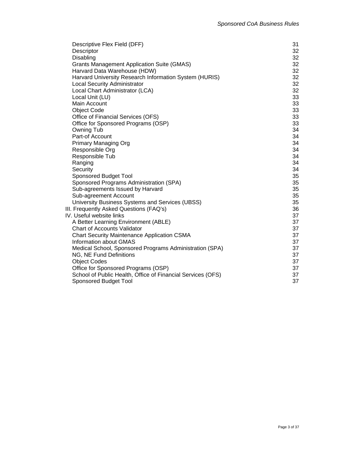| Descriptive Flex Field (DFF)<br>Descriptor                  | 31<br>32 |
|-------------------------------------------------------------|----------|
| Disabling                                                   | 32       |
| <b>Grants Management Application Suite (GMAS)</b>           | 32       |
| Harvard Data Warehouse (HDW)                                | 32       |
| Harvard University Research Information System (HURIS)      | 32       |
| <b>Local Security Administrator</b>                         | 32       |
| Local Chart Administrator (LCA)                             | 32       |
| Local Unit (LU)                                             | 33       |
| Main Account                                                | 33       |
| <b>Object Code</b>                                          | 33       |
| Office of Financial Services (OFS)                          | 33       |
| Office for Sponsored Programs (OSP)                         | 33       |
| Owning Tub                                                  | 34       |
| Part-of Account                                             | 34       |
| <b>Primary Managing Org</b>                                 | 34       |
| Responsible Org                                             | 34       |
| Responsible Tub                                             | 34       |
| Ranging                                                     | 34       |
| Security                                                    | 34       |
| <b>Sponsored Budget Tool</b>                                | 35       |
| Sponsored Programs Administration (SPA)                     | 35       |
| Sub-agreements Issued by Harvard                            | 35       |
| Sub-agreement Account                                       | 35       |
| University Business Systems and Services (UBSS)             | 35       |
| III. Frequently Asked Questions (FAQ's)                     | 36       |
| IV. Useful website links                                    | 37       |
| A Better Learning Environment (ABLE)                        | 37       |
| <b>Chart of Accounts Validator</b>                          | 37       |
| <b>Chart Security Maintenance Application CSMA</b>          | 37       |
| <b>Information about GMAS</b>                               | 37       |
| Medical School, Sponsored Programs Administration (SPA)     | 37       |
| NG, NE Fund Definitions                                     | 37       |
| <b>Object Codes</b>                                         | 37       |
| Office for Sponsored Programs (OSP)                         | 37       |
| School of Public Health, Office of Financial Services (OFS) | 37       |
| <b>Sponsored Budget Tool</b>                                | 37       |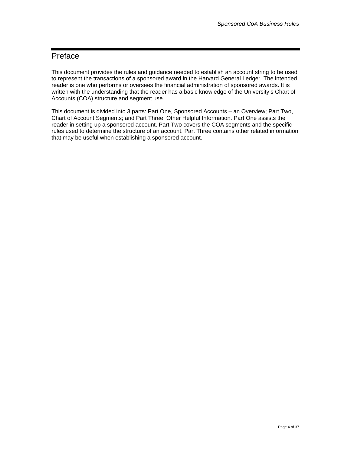# <span id="page-3-0"></span>Preface

This document provides the rules and guidance needed to establish an account string to be used to represent the transactions of a sponsored award in the Harvard General Ledger. The intended reader is one who performs or oversees the financial administration of sponsored awards. It is written with the understanding that the reader has a basic knowledge of the University's Chart of Accounts (COA) structure and segment use.

This document is divided into 3 parts: Part One, Sponsored Accounts – an Overview; Part Two, Chart of Account Segments; and Part Three, Other Helpful Information. Part One assists the reader in setting up a sponsored account. Part Two covers the COA segments and the specific rules used to determine the structure of an account. Part Three contains other related information that may be useful when establishing a sponsored account.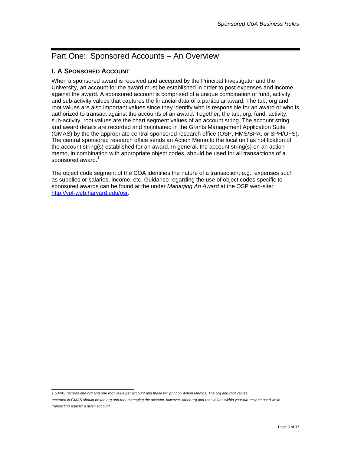# <span id="page-4-0"></span>Part One: Sponsored Accounts – An Overview

# **I. A SPONSORED ACCOUNT**

When a sponsored award is received and accepted by the Principal Investigator and the University, an account for the award must be established in order to post expenses and income against the award. A sponsored account is comprised of a unique combination of fund, activity, and sub-activity values that captures the financial data of a particular award. The tub, org and root values are also important values since they identify who is responsible for an award or who is authorized to transact against the accounts of an award. Together, the tub, org, fund, activity, sub-activity, root values are the chart segment values of an account string. The account string and award details are recorded and maintained in the Grants Management Application Suite (GMAS) by the the appropriate central sponsored research office (OSP, HMS/SPA, or SPH/OFS). The central sponsored research office sends an Action Memo to the local unit as notification of the account string(s) established for an award. In general, the account string(s) on an action memo, in combination with appropriate object codes, should be used for all transactions of a sponsored award.<sup>[1](#page-4-1)</sup>

The object code segment of the COA identifies the nature of a transaction; e.g., expenses such as supplies or salaries, income, etc. Guidance regarding the use of object codes specific to sponsored awards can be found at the under *Managing An Award* at the OSP web-site: <http://vpf-web.harvard.edu/osr>.

<span id="page-4-1"></span>*1 GMAS records one org and one root value per account and these will print on Action Memos. The org and root values recorded in GMAS should be the org and root managing the account, however, other org and root values within your tub may be used while transacting against a given account.*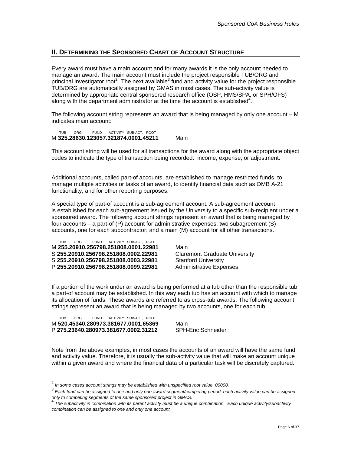## <span id="page-5-0"></span>**II. DETERMINING THE SPONSORED CHART OF ACCOUNT STRUCTURE**

Every award must have a main account and for many awards it is the only account needed to manage an award. The main account must include the project responsible TUB/ORG and principal investigator root<sup>[2](#page-5-1)</sup>. The next available<sup>[3](#page-5-2)</sup> fund and activity value for the project responsible TUB/ORG are automatically assigned by GMAS in most cases. The sub-activity value is determined by appropriate central sponsored research office (OSP, HMS/SPA, or SPH/OFS) along with the department administrator at the time the account is established<sup>[4](#page-5-3)</sup>.

The following account string represents an award that is being managed by only one account – M indicates main account:

 TUB ORG FUND ACTIVITY SUB-ACT, ROOT M **325.28630.123057.321874.0001.45211** Main

This account string will be used for all transactions for the award along with the appropriate object codes to indicate the type of transaction being recorded: income, expense, or adjustment.

Additional accounts, called part-of accounts, are established to manage restricted funds, to manage multiple activities or tasks of an award, to identify financial data such as OMB A-21 functionality, and for other reporting purposes.

A special type of part-of account is a sub-agreement account. A sub-agreement account is established for each sub-agreement issued by the University to a specific sub-recipient under a sponsored award. The following account strings represent an award that is being managed by four accounts – a part-of (P) account for administrative expenses; two subagreement (S) accounts, one for each subcontractor; and a main (M) account for all other transactions.

 TUB ORG FUND ACTIVITY SUB-ACT, ROOT M **255.20910.256798.251808.0001.22981** Main S **255.20910.256798.251808.0002.22981** Claremont Graduate University S **255.20910.256798.251808.0003.22981** Stanford University P 255.20910.256798.251808.0099.22981 Administrative Expenses

If a portion of the work under an award is being performed at a tub other than the responsible tub, a part-of account may be established. In this way each tub has an account with which to manage its allocation of funds. These awards are referred to as cross-tub awards. The following account strings represent an award that is being managed by two accounts, one for each tub:

 TUB ORG FUND ACTIVITY SUB-ACT, ROOT M **520.45340.280973.381677.0001.65369** Main P 275.23640.280973.381677.0002.31212

Note from the above examples, in most cases the accounts of an award will have the same fund and activity value. Therefore, it is usually the sub-activity value that will make an account unique within a given award and where the financial data of a particular task will be discretely captured.

<span id="page-5-1"></span> <sup>2</sup>  *In some cases account strings may be established with unspecified root value, 00000.* 

<span id="page-5-2"></span><sup>3</sup>  *Each fund can be assigned to one and only one award segment/competing period; each activity value can be assigned only to competing segments of the same sponsored project in GMAS.* 

<span id="page-5-3"></span><sup>4</sup>  *The subactivity in combination with its parent activity must be a unique combination. Each unique activity/subactivity combination can be assigned to one and only one account.*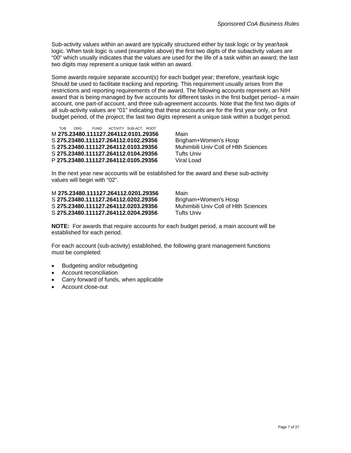Sub-activity values within an award are typically structured either by task logic or by year/task logic. When task logic is used (examples above) the first two digits of the subactivity values are "00" which usually indicates that the values are used for the life of a task within an award; the last two digits may represent a unique task within an award.

Some awards require separate account(s) for each budget year; therefore, year/task logic Should be used to facilitate tracking and reporting. This requirement usually arises from the restrictions and reporting requirements of the award. The following accounts represent an NIH award that is being managed by five accounts for different tasks in the first budget period– a main account, one part-of account, and three sub-agreement accounts. Note that the first two digits of all sub-activity values are "01" indicating that these accounts are for the first year only, or first budget period, of the project; the last two digits represent a unique task within a budget period.

ORG FUND ACTIVITY SUB-ACT, ROOT M **275.23480.111127.264112.0101.29356** Main S **275.23480.111127.264112.0102.29356** Brigham+Women's Hosp S **275.23480.111127.264112.0103.29356** Muhimbili Univ Coll of Hlth Sciences S **275.23480.111127.264112.0104.29356** Tufts Univ P **275.23480.111127.264112.0105.29356** Viral Load

In the next year new accounts will be established for the award and these sub-activity values will begin with "02".

M **275.23480.111127.264112.0201.29356** Main S **275.23480.111127.264112.0202.29356** Brigham+Women's Hosp S **275.23480.111127.264112.0203.29356** Muhimbili Univ Coll of Hlth Sciences S **275.23480.111127.264112.0204.29356** Tufts Univ

**NOTE:** For awards that require accounts for each budget period, a main account will be established for each period.

For each account (sub-activity) established, the following grant management functions must be completed:

- Budgeting and/or rebudgeting
- Account reconciliation
- Carry forward of funds, when applicable
- Account close-out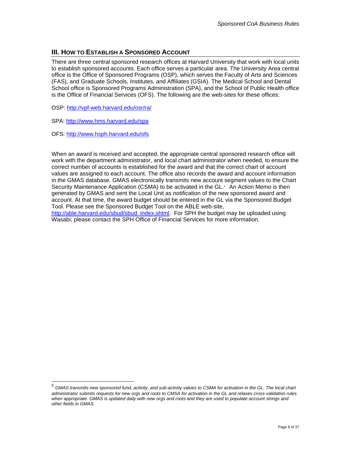## <span id="page-7-0"></span>**III. HOW TO ESTABLISH A SPONSORED ACCOUNT**

There are three central sponsored research offices at Harvard University that work with local units to establish sponsored accounts. Each office serves a particular area. The University Area central office is the Office of Sponsored Programs (OSP), which serves the Faculty of Arts and Sciences (FAS), and Graduate Schools, Institutes, and Affiliates (GSIA). The Medical School and Dental School office is Sponsored Programs Administration (SPA), and the School of Public Health office is the Office of Financial Services (OFS). The following are the web-sites for these offices:

OSP: <http://vpf-web.harvard.edu/osr/ra/>

SPA: <http://www.hms.harvard.edu/spa>

OFS:<http://www.hsph.harvard.edu/ofs>

When an award is received and accepted, the appropriate central sponsored research office will work with the department administrator, and local chart administrator when needed, to ensure the correct number of accounts is established for the award and that the correct chart of account values are assigned to each account. The office also records the award and account information in the GMAS database. GMAS electronically transmits new account segment values to the Chart Security Maintenance Application (CSMA) to be activated in the GL.<sup>5</sup> An Action Memo is then generated by GMAS and sent the Local Unit as notification of the new sponsored award and account. At that time, the award budget should be entered in the GL via the Sponsored Budget Tool. Please see the Sponsored Budget Tool on the ABLE web-site, [http://able.harvard.edu/sbud/sbud\\_index.shtml](http://able.harvard.edu/sbud/sbud_index.shtml). For SPH the budget may be uploaded using Wasabi; please contact the SPH Office of Financial Services for more information.

<span id="page-7-1"></span> <sup>5</sup> *GMAS transmits new sponsored fund, activity, and sub-activity values to CSMA for activation in the GL. The local chart administrator submits requests for new orgs and roots to CMSA for activation in the GL and relaxes cross-validation rules*  when appropriate. GMAS is updated daily with new orgs and roots and they are used to populate account strings and *other fields in GMAS.*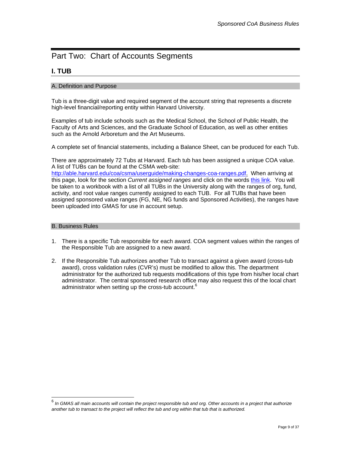# <span id="page-8-0"></span>Part Two: Chart of Accounts Segments

## **I. TUB**

#### A. Definition and Purpose

Tub is a three-digit value and required segment of the account string that represents a discrete high-level financial/reporting entity within Harvard University.

Examples of tub include schools such as the Medical School, the School of Public Health, the Faculty of Arts and Sciences, and the Graduate School of Education, as well as other entities such as the Arnold Arboretum and the Art Museums.

A complete set of financial statements, including a Balance Sheet, can be produced for each Tub.

There are approximately 72 Tubs at Harvard. Each tub has been assigned a unique COA value. A list of TUBs can be found at the CSMA web-site:

[http://able.harvard.edu/coa/csma/userguide/making-changes-coa-ranges.pdf.](http://able.harvard.edu/coa/csma/userguide/making-changes-coa-ranges.pdf) When arriving at this page, look for the section *Current assigned ranges* and click on the words this link. You will be taken to a workbook with a list of all TUBs in the University along with the ranges of org, fund, activity, and root value ranges currently assigned to each TUB. For all TUBs that have been assigned sponsored value ranges (FG, NE, NG funds and Sponsored Activities), the ranges have been uploaded into GMAS for use in account setup.

#### B. Business Rules

- 1. There is a specific Tub responsible for each award. COA segment values within the ranges of the Responsible Tub are assigned to a new award.
- 2. If the Responsible Tub authorizes another Tub to transact against a given award (cross-tub award), cross validation rules (CVR's) must be modified to allow this. The department administrator for the authorized tub requests modifications of this type from his/her local chart administrator. The central sponsored research office may also request this of the local chart administrator when setting up the cross-tub account. $6$

<span id="page-8-1"></span> <sup>6</sup> *In GMAS all main accounts will contain the project responsible tub and org. Other accounts in a project that authorize another tub to transact to the project will reflect the tub and org within that tub that is authorized.*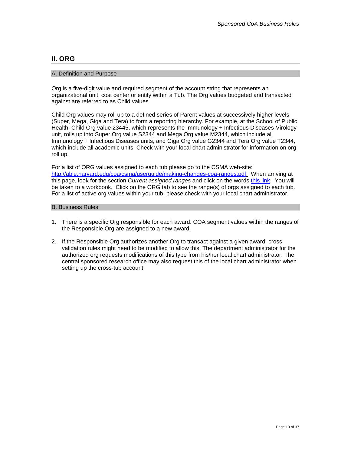#### <span id="page-9-0"></span>**II. ORG**

#### A. Definition and Purpose

Org is a five-digit value and required segment of the account string that represents an organizational unit, cost center or entity within a Tub. The Org values budgeted and transacted against are referred to as Child values.

Child Org values may roll up to a defined series of Parent values at successively higher levels (Super, Mega, Giga and Tera) to form a reporting hierarchy. For example, at the School of Public Health, Child Org value 23445, which represents the Immunology + Infectious Diseases-Virology unit, rolls up into Super Org value S2344 and Mega Org value M2344, which include all Immunology + Infectious Diseases units, and Giga Org value G2344 and Tera Org value T2344, which include all academic units. Check with your local chart administrator for information on org roll up.

For a list of ORG values assigned to each tub please go to the CSMA web-site: [http://able.harvard.edu/coa/csma/userguide/making-changes-coa-ranges.pdf.](http://able.harvard.edu/coa/csma/userguide/making-changes-coa-ranges.pdf) When arriving at this page, look for the section *Current assigned ranges* and click on the words this link. You will be taken to a workbook. Click on the ORG tab to see the range(s) of orgs assigned to each tub. For a list of active org values within your tub, please check with your local chart administrator.

#### B. Business Rules

- 1. There is a specific Org responsible for each award. COA segment values within the ranges of the Responsible Org are assigned to a new award.
- 2. If the Responsible Org authorizes another Org to transact against a given award, cross validation rules might need to be modified to allow this. The department administrator for the authorized org requests modifications of this type from his/her local chart administrator. The central sponsored research office may also request this of the local chart administrator when setting up the cross-tub account.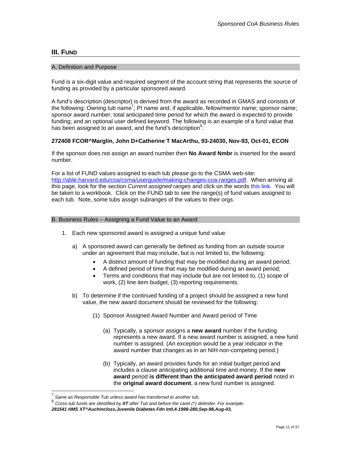#### <span id="page-10-0"></span>**III. FUND**

#### A. Definition and Purpose

Fund is a six-digit value and required segment of the account string that represents the source of funding as provided by a particular sponsored award.

A fund's description (descriptor) is derived from the award as recorded in GMAS and consists of the following: Owning tub name<sup>[7](#page-10-1)</sup>; PI name and, if applicable, fellow/mentor name; sponsor name; sponsor award number; total anticipated time period for which the award is expected to provide funding; and an optional user defined keyword. The following is an example of a fund value that has been assigned to an award, and the fund's description<sup>[8](#page-10-2)</sup>:

#### **272408 FCOR^Marglin, John D+Catherine T MacArthu, 93-24030, Nov-93, Oct-01, ECON**

If the sponsor does not assign an award number then **No Award Nmbr** is inserted for the award number.

For a list of FUND values assigned to each tub please go to the CSMA web-site: [http://able.harvard.edu/coa/csma/userguide/making-changes-coa-ranges.pdf.](http://able.harvard.edu/coa/csma/userguide/making-changes-coa-ranges.pdf) When arriving at this page, look for the section *Current assigned ranges* and click on the words this link. You will be taken to a workbook. Click on the FUND tab to see the range(s) of fund values assigned to each tub. Note, some tubs assign subranges of the values to their orgs.

#### B. Business Rules – Assigning a Fund Value to an Award

- 1. Each new sponsored award is assigned a unique fund value:
	- a) A sponsored award can generally be defined as funding from an outside source under an agreement that may include, but is not limited to, the following:
		- A distinct amount of funding that may be modified during an award period;
		- A defined period of time that may be modified during an award period;
		- Terms and conditions that may include but are not limited to, (1) scope of work, (2) line item budget, (3) reporting requirements.
	- b) To determine if the continued funding of a project should be assigned a new fund value, the new award document should be reviewed for the following:
		- (1) Sponsor Assigned Award Number and Award period of Time
			- (a) Typically, a sponsor assigns a **new award** number if the funding represents a new award. If a new award number is assigned, a new fund number is assigned. (An exception would be a year indicator in the award number that changes as in an NIH non-competing period.)
			- (b) Typically, an award provides funds for an initial budget period and includes a clause anticipating additional time and money. If the **new award** period **is different than the anticipated award period** noted in the **original award document**, a new fund number is assigned.

<span id="page-10-1"></span> <sup>7</sup> *Same as Responsible Tub unless award has transferred to another tub.*

<span id="page-10-2"></span><sup>8</sup> *Cross-tub funds are identified by XT after Tub and before the caret (^) delimiter. For example:* 

*<sup>281541</sup> HMS XT^Auchincloss,Juvenile Diabetes Fdn Intl,4-1998-280,Sep-98,Aug-03,*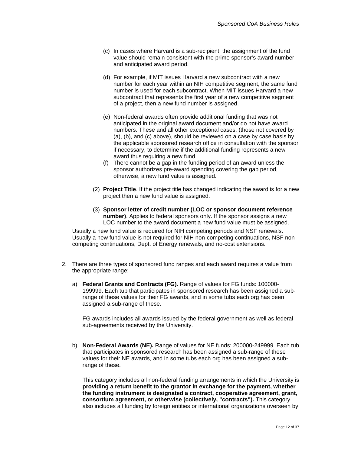- (c) In cases where Harvard is a sub-recipient, the assignment of the fund value should remain consistent with the prime sponsor's award number and anticipated award period.
- (d) For example, if MIT issues Harvard a new subcontract with a new number for each year within an NIH competitive segment, the same fund number is used for each subcontract. When MIT issues Harvard a new subcontract that represents the first year of a new competitive segment of a project, then a new fund number is assigned.
- (e) Non-federal awards often provide additional funding that was not anticipated in the original award document and/or do not have award numbers. These and all other exceptional cases, (those not covered by (a), (b), and (c) above), should be reviewed on a case by case basis by the applicable sponsored research office in consultation with the sponsor if necessary, to determine if the additional funding represents a new award thus requiring a new fund
- (f) There cannot be a gap in the funding period of an award unless the sponsor authorizes pre-award spending covering the gap period, otherwise, a new fund value is assigned.
- (2) **Project Title**. If the project title has changed indicating the award is for a new project then a new fund value is assigned.
- (3) **Sponsor letter of credit number (LOC or sponsor document reference number)**. Applies to federal sponsors only. If the sponsor assigns a new LOC number to the award document a new fund value must be assigned.

Usually a new fund value is required for NIH competing periods and NSF renewals. Usually a new fund value is not required for NIH non-competing continuations, NSF noncompeting continuations, Dept. of Energy renewals, and no-cost extensions.

- 2. There are three types of sponsored fund ranges and each award requires a value from the appropriate range:
	- a) **Federal Grants and Contracts (FG).** Range of values for FG funds: 100000- 199999. Each tub that participates in sponsored research has been assigned a subrange of these values for their FG awards, and in some tubs each org has been assigned a sub-range of these.

FG awards includes all awards issued by the federal government as well as federal sub-agreements received by the University.

b) **Non-Federal Awards (NE).** Range of values for NE funds: 200000-249999. Each tub that participates in sponsored research has been assigned a sub-range of these values for their NE awards, and in some tubs each org has been assigned a subrange of these.

This category includes all non-federal funding arrangements in which the University is **providing a return benefit to the grantor in exchange for the payment, whether the funding instrument is designated a contract, cooperative agreement, grant, consortium agreement, or otherwise (collectively, "contracts").** This category also includes all funding by foreign entities or international organizations overseen by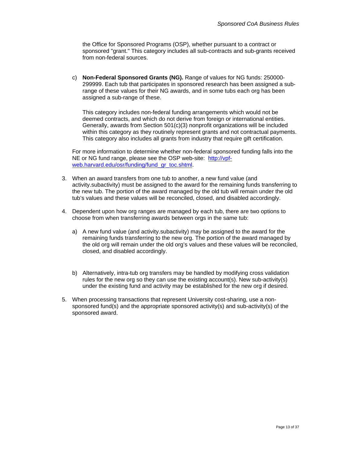the Office for Sponsored Programs (OSP), whether pursuant to a contract or sponsored "grant." This category includes all sub-contracts and sub-grants received from non-federal sources.

c) **Non-Federal Sponsored Grants (NG).** Range of values for NG funds: 250000- 299999. Each tub that participates in sponsored research has been assigned a subrange of these values for their NG awards, and in some tubs each org has been assigned a sub-range of these.

This category includes non-federal funding arrangements which would not be deemed contracts, and which do not derive from foreign or international entities. Generally, awards from Section 501(c)(3) nonprofit organizations will be included within this category as they routinely represent grants and not contractual payments. This category also includes all grants from industry that require gift certification.

For more information to determine whether non-federal sponsored funding falls into the NE or NG fund range, please see the OSP web-site: [http://vpf](http://vpf-web.harvard.edu/osr/funding/fund_gr_toc.shtml)[web.harvard.edu/osr/funding/fund\\_gr\\_toc.shtml](http://vpf-web.harvard.edu/osr/funding/fund_gr_toc.shtml)

- 3. When an award transfers from one tub to another, a new fund value (and activity.subactivity) must be assigned to the award for the remaining funds transferring to the new tub. The portion of the award managed by the old tub will remain under the old tub's values and these values will be reconciled, closed, and disabled accordingly.
- 4. Dependent upon how org ranges are managed by each tub, there are two options to choose from when transferring awards between orgs in the same tub:
	- a) A new fund value (and activity.subactivity) may be assigned to the award for the remaining funds transferring to the new org. The portion of the award managed by the old org will remain under the old org's values and these values will be reconciled, closed, and disabled accordingly.
	- b) Alternatively, intra-tub org transfers may be handled by modifying cross validation rules for the new org so they can use the existing account(s). New sub-activity(s) under the existing fund and activity may be established for the new org if desired.
- 5. When processing transactions that represent University cost-sharing, use a nonsponsored fund(s) and the appropriate sponsored activity(s) and sub-activity(s) of the sponsored award.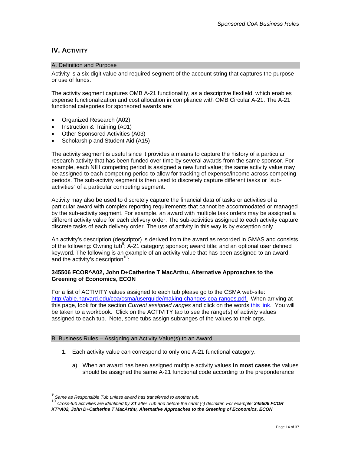## <span id="page-13-0"></span>**IV. ACTIVITY**

#### A. Definition and Purpose

Activity is a six-digit value and required segment of the account string that captures the purpose or use of funds.

The activity segment captures OMB A-21 functionality, as a descriptive flexfield, which enables expense functionalization and cost allocation in compliance with OMB Circular A-21. The A-21 functional categories for sponsored awards are:

- Organized Research (A02)
- Instruction & Training (A01)
- Other Sponsored Activities (A03)
- Scholarship and Student Aid (A15)

The activity segment is useful since it provides a means to capture the history of a particular research activity that has been funded over time by several awards from the same sponsor. For example, each NIH competing period is assigned a new fund value; the same activity value may be assigned to each competing period to allow for tracking of expense/income across competing periods. The sub-activity segment is then used to discretely capture different tasks or "subactivities" of a particular competing segment.

Activity may also be used to discretely capture the financial data of tasks or activities of a particular award with complex reporting requirements that cannot be accommodated or managed by the sub-activity segment. For example, an award with multiple task orders may be assigned a different activity value for each delivery order. The sub-activities assigned to each activity capture discrete tasks of each delivery order. The use of activity in this way is by exception only.

An activity's description (descriptor) is derived from the award as recorded in GMAS and consists of the following: Owning tub<sup>[9](#page-13-1)</sup>; A-21 category; sponsor; award title; and an optional user defined keyword. The following is an example of an activity value that has been assigned to an award, and the activity's description $10$ :

#### **345506 FCOR^A02, John D+Catherine T MacArthu, Alternative Approaches to the Greening of Economics, ECON**

For a list of ACTIVITY values assigned to each tub please go to the CSMA web-site: [http://able.harvard.edu/coa/csma/userguide/making-changes-coa-ranges.pdf.](http://able.harvard.edu/coa/csma/userguide/making-changes-coa-ranges.pdf) When arriving at this page, look for the section *Current assigned ranges* and click on the words this link. You will be taken to a workbook. Click on the ACTIVITY tab to see the range(s) of activity values assigned to each tub. Note, some tubs assign subranges of the values to their orgs.

#### B. Business Rules – Assigning an Activity Value(s) to an Award

- 1. Each activity value can correspond to only one A-21 functional category.
	- a) When an award has been assigned multiple activity values **in most cases** the values should be assigned the same A-21 functional code according to the preponderance

<span id="page-13-1"></span> <sup>9</sup> *Same as Responsible Tub unless award has transferred to another tub.* 

<span id="page-13-2"></span><sup>10</sup> *Cross-tub activities are identified by XT after Tub and before the caret (^) delimiter. For example: 345506 FCOR XT^A02, John D+Catherine T MacArthu, Alternative Approaches to the Greening of Economics, ECON*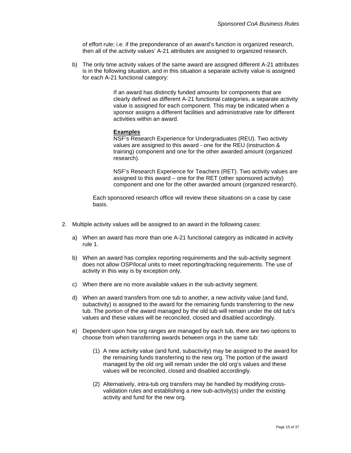of effort rule; i.e. if the preponderance of an award's function is organized research, then all of the activity values' A-21 attributes are assigned to organized research.

b) The only time activity values of the same award are assigned different A-21 attributes is in the following situation, and in this situation a separate activity value is assigned for each A-21 functional category:

> If an award has distinctly funded amounts for components that are clearly defined as different A-21 functional categories, a separate activity value is assigned for each component. This may be indicated when a sponsor assigns a different facilities and administrative rate for different activities within an award.

#### **Examples**

NSF's Research Experience for Undergraduates (REU). Two activity values are assigned to this award - one for the REU (instruction & training) component and one for the other awarded amount (organized research).

NSF's Research Experience for Teachers (RET). Two activity values are assigned to this award – one for the RET (other sponsored activity) component and one for the other awarded amount (organized research).

Each sponsored research office will review these situations on a case by case basis.

- 2. Multiple activity values will be assigned to an award in the following cases:
	- a) When an award has more than one A-21 functional category as indicated in activity rule 1.
	- b) When an award has complex reporting requirements and the sub-activity segment does not allow OSP/local units to meet reporting/tracking requirements. The use of activity in this way is by exception only.
	- c) When there are no more available values in the sub-activity segment.
	- d) When an award transfers from one tub to another, a new activity value (and fund, subactivity) is assigned to the award for the remaining funds transferring to the new tub. The portion of the award managed by the old tub will remain under the old tub's values and these values will be reconciled, closed and disabled accordingly.
	- e) Dependent upon how org ranges are managed by each tub, there are two options to choose from when transferring awards between orgs in the same tub:
		- (1) A new activity value (and fund, subactivity) may be assigned to the award for the remaining funds transferring to the new org. The portion of the award managed by the old org will remain under the old org's values and these values will be reconciled, closed and disabled accordingly.
		- (2) Alternatively, intra-tub org transfers may be handled by modifying crossvalidation rules and establishing a new sub-activity(s) under the existing activity and fund for the new org.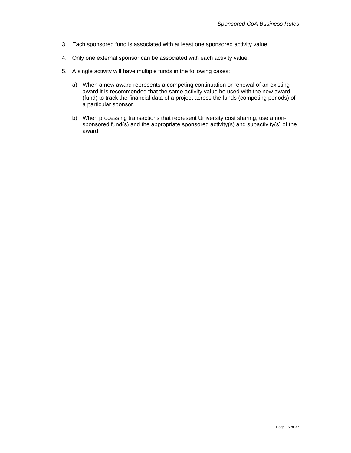- 3. Each sponsored fund is associated with at least one sponsored activity value.
- 4. Only one external sponsor can be associated with each activity value.
- 5. A single activity will have multiple funds in the following cases:
	- a) When a new award represents a competing continuation or renewal of an existing award it is recommended that the same activity value be used with the new award (fund) to track the financial data of a project across the funds (competing periods) of a particular sponsor.
	- b) When processing transactions that represent University cost sharing, use a nonsponsored fund(s) and the appropriate sponsored activity(s) and subactivity(s) of the award.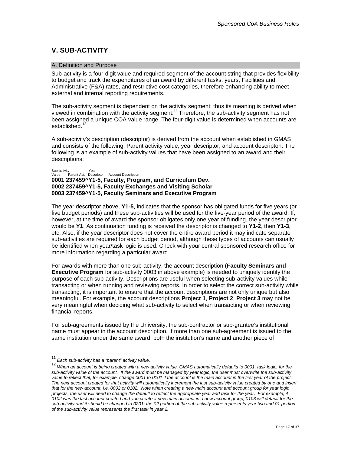# <span id="page-16-0"></span>**V. SUB-ACTIVITY**

#### A. Definition and Purpose

Sub-activity is a four-digit value and required segment of the account string that provides flexibility to budget and track the expenditures of an award by different tasks, years, Facilities and Administrative (F&A) rates, and restrictive cost categories, therefore enhancing ability to meet external and internal reporting requirements.

The sub-activity segment is dependent on the activity segment; thus its meaning is derived when viewed in combination with the activity segment.<sup>[11](#page-16-1)</sup> Therefore, the sub-activity segment has not been assigned a unique COA value range. The four-digit value is determined when accounts are established.<sup>12</sup>

A sub-activity's description (descriptor) is derived from the account when established in GMAS and consists of the following: Parent activity value, year descriptor, and account descripton. The following is an example of sub-activity values that have been assigned to an award and their descriptions:

Sub-activity Year<br>Value Parent Act. Descr v<br>Parent Act. Descriptor Account Description **0001 237459^Y1-5, Faculty, Program, and Curriculum Dev. 0002 237459^Y1-5, Faculty Exchanges and Visiting Scholar 0003 237459^Y1-5, Faculty Seminars and Executive Program** 

The year descriptor above, **Y1-5**, indicates that the sponsor has obligated funds for five years (or five budget periods) and these sub-activities will be used for the five-year period of the award. If, however, at the time of award the sponsor obligates only one year of funding, the year descriptor would be **Y1**. As continuation funding is received the descriptor is changed to **Y1-2**, then **Y1-3**, etc. Also, if the year descriptor does not cover the entire award period it may indicate separate sub-activities are required for each budget period, although these types of accounts can usually be identified when year/task logic is used. Check with your central sponsored research office for more information regarding a particular award.

For awards with more than one sub-activity, the account description (**Faculty Seminars and Executive Program** for sub-activity 0003 in above example) is needed to uniquely identify the purpose of each sub-activity. Descriptions are useful when selecting sub-activity values while transacting or when running and reviewing reports. In order to select the correct sub-activity while transacting, it is important to ensure that the account descriptions are not only unique but also meaningful. For example, the account descriptions **Project 1**, **Project 2**, **Project 3** may not be very meaningful when deciding what sub-activity to select when transacting or when reviewing financial reports.

For sub-agreements issued by the University, the sub-contractor or sub-grantee's institutional name must appear in the account description. If more than one sub-agreement is issued to the same institution under the same award, both the institution's name and another piece of

<span id="page-16-1"></span> <sup>11</sup> *Each sub-activity has a "parent" activity value.*

<span id="page-16-2"></span><sup>12</sup> *When an account is being created with a new activity value, GMAS automatically defaults to 0001, task logic, for the sub-activity value of the account. If the award must be managed by year logic, the user must overwrite the sub-activity value to reflect that; for example, change 0001 to 0101 if the account is the main account in the first year of the project. The next account created for that activity will automatically increment the last sub-activity value created by one and insert that for the new account, i.e. 0002 or 0102. Note when creating a new main account and account group for year logic*  projects, the user will need to change the default to reflect the appropriate year and task for the year. For example, if *0102 was the last account created and you create a new main account in a new account group, 0103 will default for the sub-activity and it should be changed to 0201; the 02 portion of the sub-activity value represents year two and 01 portion of the sub-activity value represents the first task in year 2.*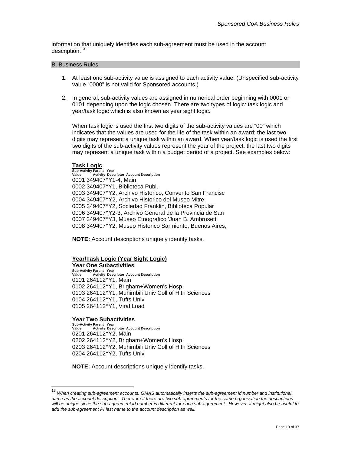<span id="page-17-0"></span>information that uniquely identifies each sub-agreement must be used in the account description.<sup>13</sup>

#### B. Business Rules

- 1. At least one sub-activity value is assigned to each activity value. (Unspecified sub-activity value "0000" is not valid for Sponsored accounts.)
- 2. In general, sub-activity values are assigned in numerical order beginning with 0001 or 0101 depending upon the logic chosen. There are two types of logic: task logic and year/task logic which is also known as year sight logic.

When task logic is used the first two digits of the sub-activity values are "00" which indicates that the values are used for the life of the task within an award; the last two digits may represent a unique task within an award. When year/task logic is used the first two digits of the sub-activity values represent the year of the project; the last two digits may represent a unique task within a budget period of a project. See examples below:

#### **Task Logic**

**Sub-Activity Parent Year Activity Descriptor Account Description** 0001 349407^Y1-4, Main 0002 349407^Y1, Biblioteca Publ. 0003 349407^Y2, Archivo Historico, Convento San Francisc 0004 349407^Y2, Archivo Historico del Museo Mitre 0005 349407^Y2, Sociedad Franklin, Biblioteca Popular 0006 349407^Y2-3, Archivo General de la Provincia de San 0007 349407^Y3, Museo Etnografico 'Juan B. Ambrosett' 0008 349407^Y2, Museo Historico Sarmiento, Buenos Aires,

**NOTE:** Account descriptions uniquely identify tasks.

### **Year/Task Logic (Year Sight Logic)**

**Year One Subactivities** 

Sub-Activity Parent Year<br>Value Activity Descriptor Account Description 0101 264112^Y1, Main 0102 264112^Y1, Brigham+Women's Hosp 0103 264112^Y1, Muhimbili Univ Coll of Hlth Sciences 0104 264112^Y1, Tufts Univ 0105 264112^Y1, Viral Load

#### **Year Two Subactivities**

**Sub-Activity Parent Year Value Activity Descriptor Account Description**  0201 264112^Y2, Main 0202 264112^Y2, Brigham+Women's Hosp 0203 264112^Y2, Muhimbili Univ Coll of Hlth Sciences 0204 264112^Y2, Tufts Univ

**NOTE:** Account descriptions uniquely identify tasks.

<span id="page-17-1"></span> <sup>13</sup> *When creating sub-agreement accounts, GMAS automatically inserts the sub-agreement id number and institutional name as the account description. Therefore if there are two sub-agreements for the same organization the descriptions will be unique since the sub-agreement id number is different for each sub-agreement. However, it might also be useful to add the sub-agreement PI last name to the account description as well.*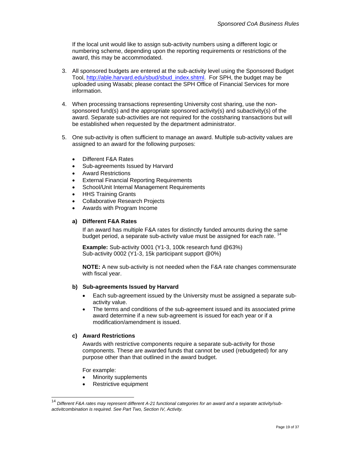If the local unit would like to assign sub-activity numbers using a different logic or numbering scheme, depending upon the reporting requirements or restrictions of the award, this may be accommodated.

- 3. All sponsored budgets are entered at the sub-activity level using the Sponsored Budget Tool, [http://able.harvard.edu/sbud/sbud\\_index.shtml](http://able.harvard.edu/sbud/sbud_index.shtml). For SPH, the budget may be uploaded using Wasabi; please contact the SPH Office of Financial Services for more information.
- 4. When processing transactions representing University cost sharing, use the nonsponsored fund(s) and the appropriate sponsored activity(s) and subactivity(s) of the award. Separate sub-activities are not required for the costsharing transactions but will be established when requested by the department administrator.
- 5. One sub-activity is often sufficient to manage an award. Multiple sub-activity values are assigned to an award for the following purposes:
	- Different F&A Rates
	- Sub-agreements Issued by Harvard
	- Award Restrictions
	- External Financial Reporting Requirements
	- School/Unit Internal Management Requirements
	- HHS Training Grants
	- Collaborative Research Projects
	- Awards with Program Income

#### **a) Different F&A Rates**

If an award has multiple F&A rates for distinctly funded amounts during the same budget period, a separate sub-activity value must be assigned for each rate. [14](#page-18-0)

**Example:** Sub-activity 0001 (Y1-3, 100k research fund @63%) Sub-activity 0002 (Y1-3, 15k participant support @0%)

**NOTE:** A new sub-activity is not needed when the F&A rate changes commensurate with fiscal year.

#### **b) Sub-agreements Issued by Harvard**

- Each sub-agreement issued by the University must be assigned a separate subactivity value.
- The terms and conditions of the sub-agreement issued and its associated prime award determine if a new sub-agreement is issued for each year or if a modification/amendment is issued.

#### **c) Award Restrictions**

Awards with restrictive components require a separate sub-activity for those components. These are awarded funds that cannot be used (rebudgeted) for any purpose other than that outlined in the award budget.

For example:

- Minority supplements
- Restrictive equipment

<span id="page-18-0"></span>Different F&A rates may represent different A-21 functional categories for an award and a separate activity/sub*activitcombination is required. See Part Two, Section IV, Activity.*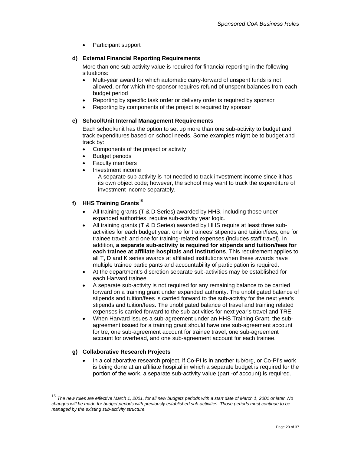• Participant support

#### **d) External Financial Reporting Requirements**

More than one sub-activity value is required for financial reporting in the following situations:

- Multi-year award for which automatic carry-forward of unspent funds is not allowed, or for which the sponsor requires refund of unspent balances from each budget period
- Reporting by specific task order or delivery order is required by sponsor
- Reporting by components of the project is required by sponsor

#### **e) School/Unit Internal Management Requirements**

Each school/unit has the option to set up more than one sub-activity to budget and track expenditures based on school needs. Some examples might be to budget and track by:

- Components of the project or activity
- **Budget periods**
- **Faculty members**
- Investment income

A separate sub-activity is not needed to track investment income since it has its own object code; however, the school may want to track the expenditure of investment income separately.

#### **f) HHS Training Grants**[15](#page-19-0)

- All training grants (T & D Series) awarded by HHS, including those under expanded authorities, require sub-activity year logic.
- All training grants (T & D Series) awarded by HHS require at least three subactivities for each budget year: one for trainees' stipends and tuition/fees; one for trainee travel; and one for training-related expenses (includes staff travel). In addition, **a separate sub-activity is required for stipends and tuition/fees for each trainee at affiliate hospitals and institutions**. This requirement applies to all T, D and K series awards at affiliated institutions when these awards have multiple trainee participants and accountability of participation is required.
- At the department's discretion separate sub-activities may be established for each Harvard trainee.
- A separate sub-activity is not required for any remaining balance to be carried forward on a training grant under expanded authority. The unobligated balance of stipends and tuition/fees is carried forward to the sub-activity for the next year's stipends and tuition/fees. The unobligated balance of travel and training related expenses is carried forward to the sub-activities for next year's travel and TRE.
- When Harvard issues a sub-agreement under an HHS Training Grant, the subagreement issued for a training grant should have one sub-agreement account for tre, one sub-agreement account for trainee travel, one sub-agreement account for overhead, and one sub-agreement account for each trainee.

### **g) Collaborative Research Projects**

• In a collaborative research project, if Co-PI is in another tub/org, or Co-PI's work is being done at an affiliate hospital in which a separate budget is required for the portion of the work, a separate sub-activity value (part -of account) is required.

<span id="page-19-0"></span> <sup>15</sup> *The new rules are effective March 1, 2001, for all new budgets periods with a start date of March 1, 2001 or later. No changes will be made for budget periods with previously established sub-activities. Those periods must continue to be managed by the existing sub-activity structure.*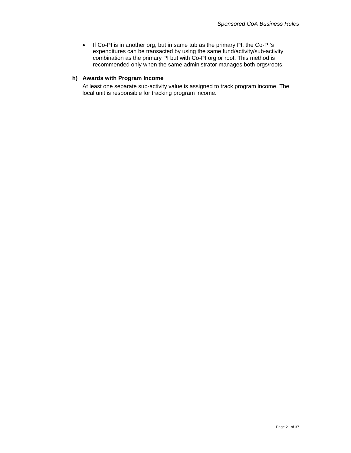• If Co-PI is in another org, but in same tub as the primary PI, the Co-PI's expenditures can be transacted by using the same fund/activity/sub-activity combination as the primary PI but with Co-PI org or root. This method is recommended only when the same administrator manages both orgs/roots.

#### **h) Awards with Program Income**

At least one separate sub-activity value is assigned to track program income. The local unit is responsible for tracking program income.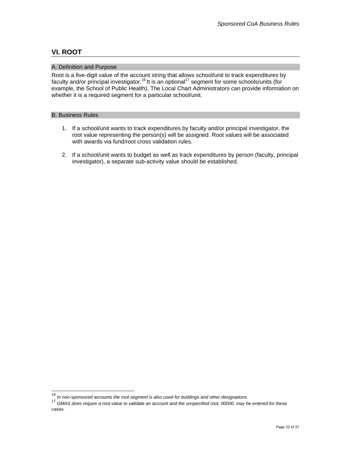# <span id="page-21-0"></span>**VI. ROOT**

#### A. Definition and Purpose

Root is a five-digit value of the account string that allows school/unit to track expenditures by faculty and/or principal investigator.[16](#page-21-1) It is an optional[17](#page-21-2) segment for some schools/units (for example, the School of Public Health). The Local Chart Administrators can provide information on whether it is a required segment for a particular school/unit.

#### B. Business Rules

- 1. If a school/unit wants to track expenditures by faculty and/or principal investigator, the root value representing the person(s) will be assigned. Root values will be associated with awards via fund/root cross validation rules.
- 2. If a school/unit wants to budget as well as track expenditures by person (faculty, principal investigator), a separate sub-activity value should be established.

<span id="page-21-1"></span> <sup>16</sup> *In non-sponsored accounts the root segment is also used for buildings and other designations.* 

<span id="page-21-2"></span><sup>17</sup> *GMAS does require a root value to validate an account and the unspecified root, 00000, may be entered for these cases.*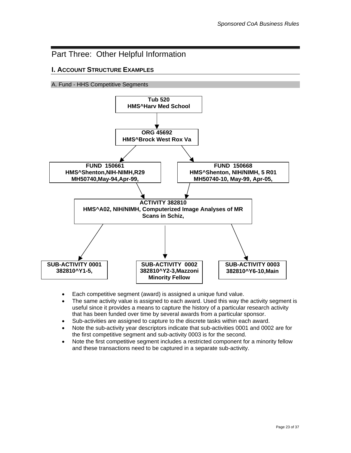# <span id="page-22-0"></span>Part Three: Other Helpful Information

## **I. ACCOUNT STRUCTURE EXAMPLES**

A. Fund - HHS Competitive Segments



- Each competitive segment (award) is assigned a unique fund value.
- The same activity value is assigned to each award. Used this way the activity segment is useful since it provides a means to capture the history of a particular research activity that has been funded over time by several awards from a particular sponsor.
- Sub-activities are assigned to capture to the discrete tasks within each award.
- Note the sub-activity year descriptors indicate that sub-activities 0001 and 0002 are for the first competitive segment and sub-activity 0003 is for the second.
- Note the first competitive segment includes a restricted component for a minority fellow and these transactions need to be captured in a separate sub-activity.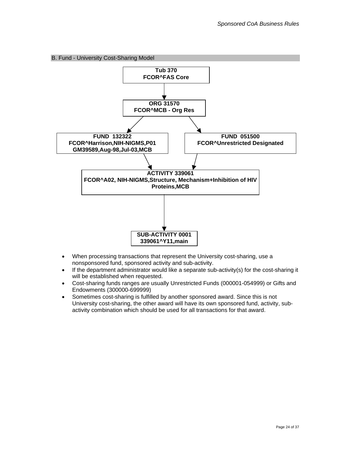<span id="page-23-0"></span>

- When processing transactions that represent the University cost-sharing, use a nonsponsored fund, sponsored activity and sub-activity.
- $\bullet$  If the department administrator would like a separate sub-activity(s) for the cost-sharing it will be established when requested.
- Cost-sharing funds ranges are usually Unrestricted Funds (000001-054999) or Gifts and Endowments (300000-699999)
- Sometimes cost-sharing is fulfilled by another sponsored award. Since this is not University cost-sharing, the other award will have its own sponsored fund, activity, subactivity combination which should be used for all transactions for that award.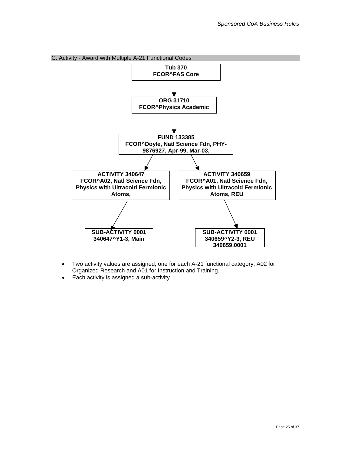<span id="page-24-0"></span>

- Two activity values are assigned, one for each A-21 functional category; A02 for Organized Research and A01 for Instruction and Training.
- Each activity is assigned a sub-activity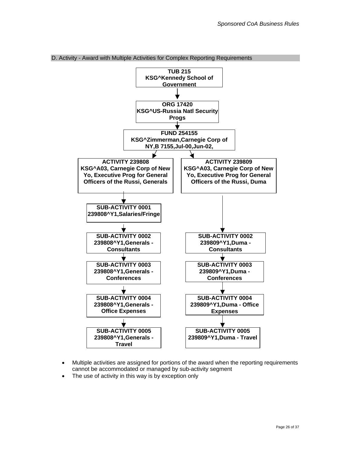

<span id="page-25-0"></span>D. Activity - Award with Multiple Activities for Complex Reporting Requirements

- Multiple activities are assigned for portions of the award when the reporting requirements cannot be accommodated or managed by sub-activity segment
- The use of activity in this way is by exception only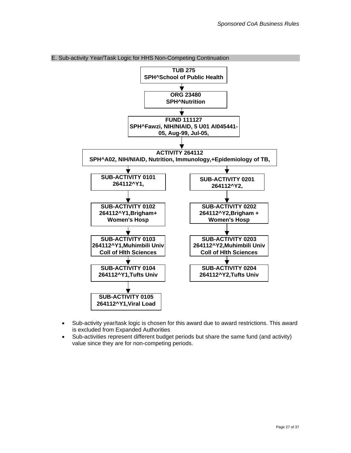

<span id="page-26-0"></span>E. Sub-activity Year/Task Logic for HHS Non-Competing Continuation

- Sub-activity year/task logic is chosen for this award due to award restrictions. This award is excluded from Expanded Authorities
- Sub-activities represent different budget periods but share the same fund (and activity) value since they are for non-competing periods.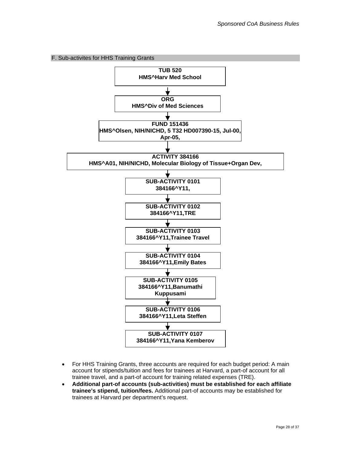<span id="page-27-0"></span>



- For HHS Training Grants, three accounts are required for each budget period: A main account for stipends/tuition and fees for trainees at Harvard, a part-of account for all trainee travel, and a part-of account for training related expenses (TRE).
- **Additional part-of accounts (sub-activities) must be established for each affiliate trainee's stipend, tuition/fees.** Additional part-of accounts may be established for trainees at Harvard per department's request.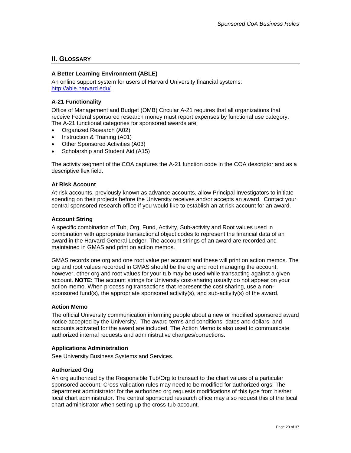#### <span id="page-28-0"></span>**II. GLOSSARY**

#### **A Better Learning Environment (ABLE)**

An online support system for users of Harvard University financial systems: [http://able.harvard.edu/.](http://able.harvard.edu/)

#### **A-21 Functionality**

Office of Management and Budget (OMB) Circular A-21 requires that all organizations that receive Federal sponsored research money must report expenses by functional use category. The A-21 functional categories for sponsored awards are:

- Organized Research (A02)
- Instruction & Training (A01)
- Other Sponsored Activities (A03)
- Scholarship and Student Aid (A15)

The activity segment of the COA captures the A-21 function code in the COA descriptor and as a descriptive flex field.

#### **At Risk Account**

At risk accounts, previously known as advance accounts, allow Principal Investigators to initiate spending on their projects before the University receives and/or accepts an award. Contact your central sponsored research office if you would like to establish an at risk account for an award.

#### **Account String**

A specific combination of Tub, Org, Fund, Activity, Sub-activity and Root values used in combination with appropriate transactional object codes to represent the financial data of an award in the Harvard General Ledger. The account strings of an award are recorded and maintained in GMAS and print on action memos.

GMAS records one org and one root value per account and these will print on action memos. The org and root values recorded in GMAS should be the org and root managing the account; however, other org and root values for your tub may be used while transacting against a given account. **NOTE:** The account strings for University cost-sharing usually do not appear on your action memo. When processing transactions that represent the cost sharing, use a nonsponsored fund(s), the appropriate sponsored activity(s), and sub-activity(s) of the award.

#### **Action Memo**

The official University communication informing people about a new or modified sponsored award notice accepted by the University. The award terms and conditions, dates and dollars, and accounts activated for the award are included. The Action Memo is also used to communicate authorized internal requests and administrative changes/corrections.

#### **Applications Administration**

See University Business Systems and Services.

#### **Authorized Org**

An org authorized by the Responsible Tub/Org to transact to the chart values of a particular sponsored account. Cross validation rules may need to be modified for authorized orgs. The department administrator for the authorized org requests modifications of this type from his/her local chart administrator. The central sponsored research office may also request this of the local chart administrator when setting up the cross-tub account.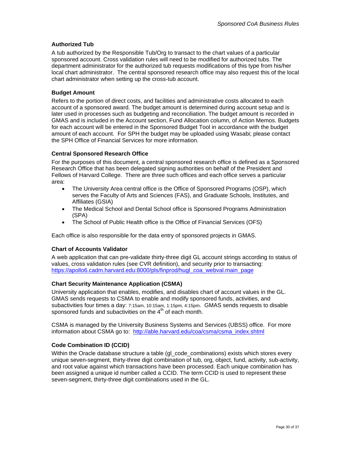#### <span id="page-29-0"></span>**Authorized Tub**

A tub authorized by the Responsible Tub/Org to transact to the chart values of a particular sponsored account. Cross validation rules will need to be modified for authorized tubs. The department administrator for the authorized tub requests modifications of this type from his/her local chart administrator. The central sponsored research office may also request this of the local chart administrator when setting up the cross-tub account.

#### **Budget Amount**

Refers to the portion of direct costs, and facilities and administrative costs allocated to each account of a sponsored award. The budget amount is determined during account setup and is later used in processes such as budgeting and reconciliation. The budget amount is recorded in GMAS and is included in the Account section, Fund Allocation column, of Action Memos. Budgets for each account will be entered in the Sponsored Budget Tool in accordance with the budget amount of each account. For SPH the budget may be uploaded using Wasabi; please contact the SPH Office of Financial Services for more information.

#### **Central Sponsored Research Office**

For the purposes of this document, a central sponsored research office is defined as a Sponsored Research Office that has been delegated signing authorities on behalf of the President and Fellows of Harvard College. There are three such offices and each office serves a particular area:

- The University Area central office is the Office of Sponsored Programs (OSP), which serves the Faculty of Arts and Sciences (FAS), and Graduate Schools, Institutes, and Affiliates (GSIA)
- The Medical School and Dental School office is Sponsored Programs Administration (SPA)
- The School of Public Health office is the Office of Financial Services (OFS)

Each office is also responsible for the data entry of sponsored projects in GMAS.

#### **Chart of Accounts Validator**

A web application that can pre-validate thirty-three digit GL account strings according to status of values, cross validation rules (see CVR definition), and security prior to transacting: [https://apollo6.cadm.harvard.edu:8000/pls/finprod/hugl\\_coa\\_webval.main\\_page](https://apollo6.cadm.harvard.edu:8000/pls/finprod/hugl_coa_webval.main_page)

#### **Chart Security Maintenance Application (CSMA)**

University application that enables, modifies, and disables chart of account values in the GL. GMAS sends requests to CSMA to enable and modify sponsored funds, activities, and subactivities four times a day: 7:15am, 10:15am, 1:15pm, 4:15pm. GMAS sends requests to disable sponsored funds and subactivities on the  $4<sup>th</sup>$  of each month.

CSMA is managed by the University Business Systems and Services (UBSS) office. For more information about CSMA go to: [http://able.harvard.edu/coa/csma/csma\\_index.shtml](http://able.harvard.edu/coa/csma/csma_index.shtml)

#### **Code Combination ID (CCID)**

Within the Oracle database structure a table (gl\_code\_combinations) exists which stores every unique seven-segment, thirty-three digit combination of tub, org, object, fund, activity, sub-activity, and root value against which transactions have been processed. Each unique combination has been assigned a unique id number called a CCID. The term CCID is used to represent these seven-segment, thirty-three digit combinations used in the GL.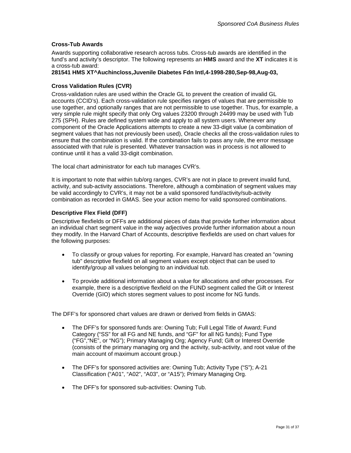#### <span id="page-30-0"></span>**Cross-Tub Awards**

Awards supporting collaborative research across tubs. Cross-tub awards are identified in the fund's and activity's descriptor. The following represents an **HMS** award and the **XT** indicates it is a cross-tub award:

#### **281541 HMS XT^Auchincloss,Juvenile Diabetes Fdn Intl,4-1998-280,Sep-98,Aug-03,**

#### **Cross Validation Rules (CVR)**

Cross-validation rules are used within the Oracle GL to prevent the creation of invalid GL accounts (CCID's). Each cross-validation rule specifies ranges of values that are permissible to use together, and optionally ranges that are not permissible to use together. Thus, for example, a very simple rule might specify that only Org values 23200 through 24499 may be used with Tub 275 (SPH). Rules are defined system wide and apply to all system users. Whenever any component of the Oracle Applications attempts to create a new 33-digit value (a combination of segment values that has not previously been used), Oracle checks all the cross-validation rules to ensure that the combination is valid. If the combination fails to pass any rule, the error message associated with that rule is presented. Whatever transaction was in process is not allowed to continue until it has a valid 33-digit combination.

The local chart administrator for each tub manages CVR's.

It is important to note that within tub/org ranges, CVR's are not in place to prevent invalid fund, activity, and sub-activity associations. Therefore, although a combination of segment values may be valid accordingly to CVR's, it may not be a valid sponsored fund/activity/sub-activity combination as recorded in GMAS. See your action memo for valid sponsored combinations.

#### **Descriptive Flex Field (DFF)**

Descriptive flexfields or DFFs are additional pieces of data that provide further information about an individual chart segment value in the way adjectives provide further information about a noun they modify. In the Harvard Chart of Accounts, descriptive flexfields are used on chart values for the following purposes:

- To classify or group values for reporting. For example, Harvard has created an "owning tub" descriptive flexfield on all segment values except object that can be used to identify/group all values belonging to an individual tub.
- To provide additional information about a value for allocations and other processes. For example, there is a descriptive flexfield on the FUND segment called the Gift or Interest Override (GIO) which stores segment values to post income for NG funds.

The DFF's for sponsored chart values are drawn or derived from fields in GMAS:

- The DFF's for sponsored funds are: Owning Tub; Full Legal Title of Award; Fund Category ("SS" for all FG and NE funds, and "GF" for all NG funds); Fund Type ("FG","NE", or "NG"); Primary Managing Org; Agency Fund; Gift or Interest Override (consists of the primary managing org and the activity, sub-activity, and root value of the main account of maximum account group.)
- The DFF's for sponsored activities are: Owning Tub; Activity Type ("S"); A-21 Classification ("A01", "A02", "A03", or "A15"); Primary Managing Org.
- The DFF's for sponsored sub-activities: Owning Tub.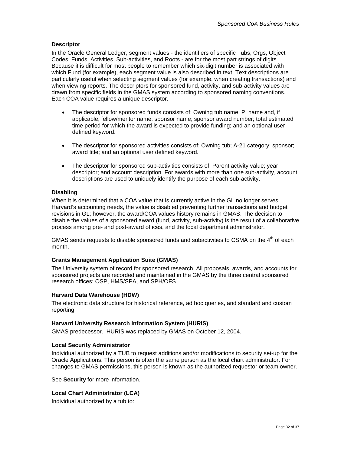#### <span id="page-31-0"></span>**Descriptor**

In the Oracle General Ledger, segment values - the identifiers of specific Tubs, Orgs, Object Codes, Funds, Activities, Sub-activities, and Roots - are for the most part strings of digits. Because it is difficult for most people to remember which six-digit number is associated with which Fund (for example), each segment value is also described in text. Text descriptions are particularly useful when selecting segment values (for example, when creating transactions) and when viewing reports. The descriptors for sponsored fund, activity, and sub-activity values are drawn from specific fields in the GMAS system according to sponsored naming conventions. Each COA value requires a unique descriptor.

- The descriptor for sponsored funds consists of: Owning tub name; PI name and, if applicable, fellow/mentor name; sponsor name; sponsor award number; total estimated time period for which the award is expected to provide funding; and an optional user defined keyword.
- The descriptor for sponsored activities consists of: Owning tub; A-21 category; sponsor; award title; and an optional user defined keyword.
- The descriptor for sponsored sub-activities consists of: Parent activity value; year descriptor; and account description. For awards with more than one sub-activity, account descriptions are used to uniquely identify the purpose of each sub-activity.

#### **Disabling**

When it is determined that a COA value that is currently active in the GL no longer serves Harvard's accounting needs, the value is disabled preventing further transactions and budget revisions in GL; however, the award/COA values history remains in GMAS. The decision to disable the values of a sponsored award (fund, activity, sub-activity) is the result of a collaborative process among pre- and post-award offices, and the local department administrator.

GMAS sends requests to disable sponsored funds and subactivities to CSMA on the  $4<sup>th</sup>$  of each month.

#### **Grants Management Application Suite (GMAS)**

The University system of record for sponsored research. All proposals, awards, and accounts for sponsored projects are recorded and maintained in the GMAS by the three central sponsored research offices: OSP, HMS/SPA, and SPH/OFS.

#### **Harvard Data Warehouse (HDW)**

The electronic data structure for historical reference, ad hoc queries, and standard and custom reporting.

#### **Harvard University Research Information System (HURIS)**

GMAS predecessor. HURIS was replaced by GMAS on October 12, 2004.

#### **Local Security Administrator**

Individual authorized by a TUB to request additions and/or modifications to security set-up for the Oracle Applications. This person is often the same person as the local chart administrator. For changes to GMAS permissions, this person is known as the authorized requestor or team owner.

See **Security** for more information.

#### **Local Chart Administrator (LCA)**

Individual authorized by a tub to: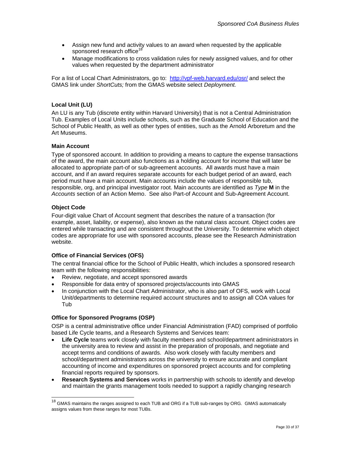- <span id="page-32-0"></span>• Assign new fund and activity values to an award when requested by the applicable sponsored research office<sup>[18](#page-32-1)</sup>
- Manage modifications to cross validation rules for newly assigned values, and for other values when requested by the department administrator

For a list of Local Chart Administrators, go to: <http://vpf-web.harvard.edu/osr/> and select the GMAS link under *ShortCuts;* from the GMAS website select *Deployment.* 

#### **Local Unit (LU)**

An LU is any Tub (discrete entity within Harvard University) that is not a Central Administration Tub. Examples of Local Units include schools, such as the Graduate School of Education and the School of Public Health, as well as other types of entities, such as the Arnold Arboretum and the Art Museums.

#### **Main Account**

Type of sponsored account. In addition to providing a means to capture the expense transactions of the award, the main account also functions as a holding account for income that will later be allocated to appropriate part-of or sub-agreement accounts. All awards must have a main account, and if an award requires separate accounts for each budget period of an award, each period must have a main account. Main accounts include the values of responsible tub, responsible, org, and principal investigator root. Main accounts are identified as *Type* **M** in the *Accounts* section of an Action Memo. See also Part-of Account and Sub-Agreement Account.

#### **Object Code**

-

Four-digit value Chart of Account segment that describes the nature of a transaction (for example, asset, liability, or expense), also known as the natural class account. Object codes are entered while transacting and are consistent throughout the University. To determine which object codes are appropriate for use with sponsored accounts, please see the Research Administration website.

#### **Office of Financial Services (OFS)**

The central financial office for the School of Public Health, which includes a sponsored research team with the following responsibilities:

- Review, negotiate, and accept sponsored awards
- Responsible for data entry of sponsored projects/accounts into GMAS
- In conjunction with the Local Chart Administrator, who is also part of OFS, work with Local Unit/departments to determine required account structures and to assign all COA values for Tub

#### **Office for Sponsored Programs (OSP)**

OSP is a central administrative office under Financial Administration (FAD) comprised of portfolio based Life Cycle teams, and a Research Systems and Services team:

- **Life Cycle** teams work closely with faculty members and school/department administrators in the university area to review and assist in the preparation of proposals, and negotiate and accept terms and conditions of awards. Also work closely with faculty members and school/department administrators across the university to ensure accurate and compliant accounting of income and expenditures on sponsored project accounts and for completing financial reports required by sponsors.
- **Research Systems and Services** works in partnership with schools to identify and develop and maintain the grants management tools needed to support a rapidly changing research

<span id="page-32-1"></span> $^{18}$  GMAS maintains the ranges assigned to each TUB and ORG if a TUB sub-ranges by ORG. GMAS automatically assigns values from these ranges for most TUBs.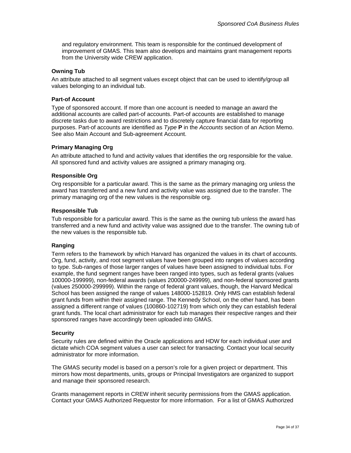<span id="page-33-0"></span>and regulatory environment. This team is responsible for the continued development of improvement of GMAS. This team also develops and maintains grant management reports from the University wide CREW application.

#### **Owning Tub**

An attribute attached to all segment values except object that can be used to identify/group all values belonging to an individual tub.

#### **Part-of Account**

Type of sponsored account. If more than one account is needed to manage an award the additional accounts are called part-of accounts. Part-of accounts are established to manage discrete tasks due to award restrictions and to discretely capture financial data for reporting purposes. Part-of accounts are identified as *Type* **P** in the *Accounts* section of an Action Memo. See also Main Account and Sub-agreement Account.

#### **Primary Managing Org**

An attribute attached to fund and activity values that identifies the org responsible for the value. All sponsored fund and activity values are assigned a primary managing org.

#### **Responsible Org**

Org responsible for a particular award. This is the same as the primary managing org unless the award has transferred and a new fund and activity value was assigned due to the transfer. The primary managing org of the new values is the responsible org.

#### **Responsible Tub**

Tub responsible for a particular award. This is the same as the owning tub unless the award has transferred and a new fund and activity value was assigned due to the transfer. The owning tub of the new values is the responsible tub.

#### **Ranging**

Term refers to the framework by which Harvard has organized the values in its chart of accounts. Org, fund, activity, and root segment values have been grouped into ranges of values according to type. Sub-ranges of those larger ranges of values have been assigned to individual tubs. For example, the fund segment ranges have been ranged into types, such as federal grants (values 100000-199999), non-federal awards (values 200000-249999), and non-federal sponsored grants (values 250000-299999). Within the range of federal grant values, though, the Harvard Medical School has been assigned the range of values 148000-152819. Only HMS can establish federal grant funds from within their assigned range. The Kennedy School, on the other hand, has been assigned a different range of values (100860-102719) from which only they can establish federal grant funds. The local chart administrator for each tub manages their respective ranges and their sponsored ranges have accordingly been uploaded into GMAS.

#### **Security**

Security rules are defined within the Oracle applications and HDW for each individual user and dictate which COA segment values a user can select for transacting. Contact your local security administrator for more information.

The GMAS security model is based on a person's role for a given project or department. This mirrors how most departments, units, groups or Principal Investigators are organized to support and manage their sponsored research.

Grants management reports in CREW inherit security permissions from the GMAS application. Contact your GMAS Authorized Requestor for more information. For a list of GMAS Authorized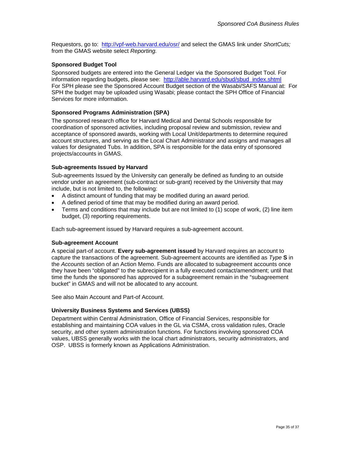<span id="page-34-0"></span>Requestors, go to: <http://vpf-web.harvard.edu/osr/> and select the GMAS link under *ShortCuts;*  from the GMAS website select *Reporting.* 

#### **Sponsored Budget Tool**

Sponsored budgets are entered into the General Ledger via the Sponsored Budget Tool. For information regarding budgets, please see: [http://able.harvard.edu/sbud/sbud\\_index.shtml](http://able.harvard.edu/sbud/sbud_index.shtml) For SPH please see the Sponsored Account Budget section of the Wasabi/SAFS Manual at: For SPH the budget may be uploaded using Wasabi; please contact the SPH Office of Financial Services for more information.

#### **Sponsored Programs Administration (SPA)**

The sponsored research office for Harvard Medical and Dental Schools responsible for coordination of sponsored activities, including proposal review and submission, review and acceptance of sponsored awards, working with Local Unit/departments to determine required account structures, and serving as the Local Chart Administrator and assigns and manages all values for designated Tubs. In addition, SPA is responsible for the data entry of sponsored projects/accounts in GMAS.

#### **Sub-agreements Issued by Harvard**

Sub-agreements Issued by the University can generally be defined as funding to an outside vendor under an agreement (sub-contract or sub-grant) received by the University that may include, but is not limited to, the following:

- A distinct amount of funding that may be modified during an award period.
- A defined period of time that may be modified during an award period.
- Terms and conditions that may include but are not limited to (1) scope of work, (2) line item budget, (3) reporting requirements.

Each sub-agreement issued by Harvard requires a sub-agreement account.

#### **Sub-agreement Account**

A special part-of account. **Every sub-agreement issued** by Harvard requires an account to capture the transactions of the agreement. Sub-agreement accounts are identified as *Type* **S** in the *Accounts* section of an Action Memo. Funds are allocated to subagreement accounts once they have been "obligated" to the subrecipient in a fully executed contact/amendment; until that time the funds the sponsored has approved for a subagreement remain in the "subagreement bucket" in GMAS and will not be allocated to any account.

See also Main Account and Part-of Account.

#### **University Business Systems and Services (UBSS)**

Department within Central Administration, Office of Financial Services, responsible for establishing and maintaining COA values in the GL via CSMA, cross validation rules, Oracle security, and other system administration functions. For functions involving sponsored COA values, UBSS generally works with the local chart administrators, security administrators, and OSP. UBSS is formerly known as Applications Administration.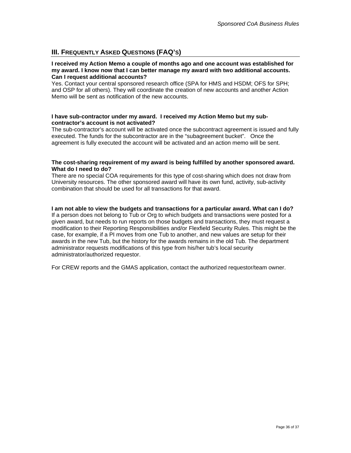# <span id="page-35-0"></span>**III. FREQUENTLY ASKED QUESTIONS (FAQ'S)**

#### **I received my Action Memo a couple of months ago and one account was established for my award. I know now that I can better manage my award with two additional accounts. Can I request additional accounts?**

Yes. Contact your central sponsored research office (SPA for HMS and HSDM; OFS for SPH; and OSP for all others). They will coordinate the creation of new accounts and another Action Memo will be sent as notification of the new accounts.

#### **I have sub-contractor under my award. I received my Action Memo but my subcontractor's account is not activated?**

The sub-contractor's account will be activated once the subcontract agreement is issued and fully executed. The funds for the subcontractor are in the "subagreement bucket". Once the agreement is fully executed the account will be activated and an action memo will be sent.

#### **The cost-sharing requirement of my award is being fulfilled by another sponsored award. What do I need to do?**

There are no special COA requirements for this type of cost-sharing which does not draw from University resources. The other sponsored award will have its own fund, activity, sub-activity combination that should be used for all transactions for that award.

#### **I am not able to view the budgets and transactions for a particular award. What can I do?**

If a person does not belong to Tub or Org to which budgets and transactions were posted for a given award, but needs to run reports on those budgets and transactions, they must request a modification to their Reporting Responsibilities and/or Flexfield Security Rules. This might be the case, for example, if a PI moves from one Tub to another, and new values are setup for their awards in the new Tub, but the history for the awards remains in the old Tub. The department administrator requests modifications of this type from his/her tub's local security administrator/authorized requestor.

For CREW reports and the GMAS application, contact the authorized requestor/team owner.